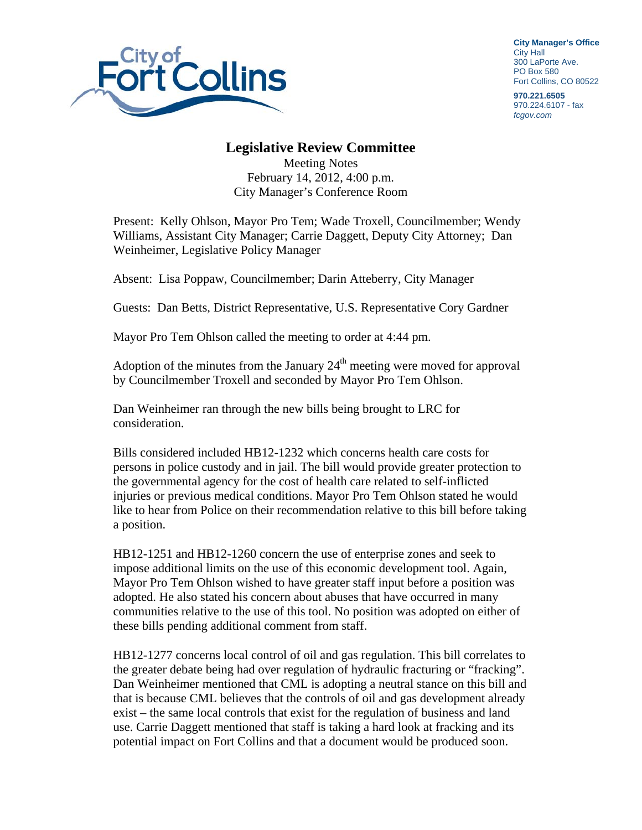

**City Manager's Office** City Hall 300 LaPorte Ave. PO Box 580 Fort Collins, CO 80522

**970.221.6505**  970.224.6107 - fax *fcgov.com* 

## **Legislative Review Committee**

Meeting Notes February 14, 2012, 4:00 p.m. City Manager's Conference Room

Present: Kelly Ohlson, Mayor Pro Tem; Wade Troxell, Councilmember; Wendy Williams, Assistant City Manager; Carrie Daggett, Deputy City Attorney; Dan Weinheimer, Legislative Policy Manager

Absent: Lisa Poppaw, Councilmember; Darin Atteberry, City Manager

Guests: Dan Betts, District Representative, U.S. Representative Cory Gardner

Mayor Pro Tem Ohlson called the meeting to order at 4:44 pm.

Adoption of the minutes from the January  $24<sup>th</sup>$  meeting were moved for approval by Councilmember Troxell and seconded by Mayor Pro Tem Ohlson.

Dan Weinheimer ran through the new bills being brought to LRC for consideration.

Bills considered included HB12-1232 which concerns health care costs for persons in police custody and in jail. The bill would provide greater protection to the governmental agency for the cost of health care related to self-inflicted injuries or previous medical conditions. Mayor Pro Tem Ohlson stated he would like to hear from Police on their recommendation relative to this bill before taking a position.

HB12-1251 and HB12-1260 concern the use of enterprise zones and seek to impose additional limits on the use of this economic development tool. Again, Mayor Pro Tem Ohlson wished to have greater staff input before a position was adopted. He also stated his concern about abuses that have occurred in many communities relative to the use of this tool. No position was adopted on either of these bills pending additional comment from staff.

HB12-1277 concerns local control of oil and gas regulation. This bill correlates to the greater debate being had over regulation of hydraulic fracturing or "fracking". Dan Weinheimer mentioned that CML is adopting a neutral stance on this bill and that is because CML believes that the controls of oil and gas development already exist – the same local controls that exist for the regulation of business and land use. Carrie Daggett mentioned that staff is taking a hard look at fracking and its potential impact on Fort Collins and that a document would be produced soon.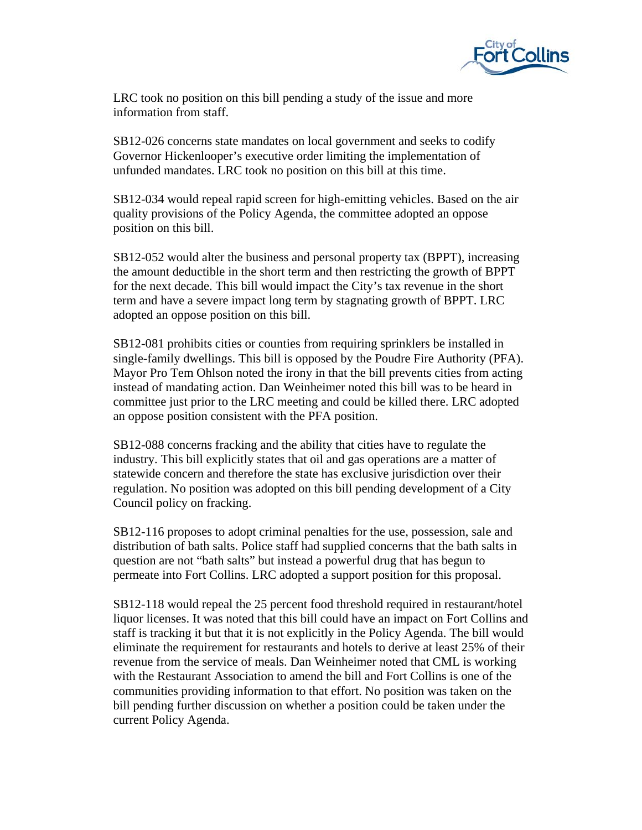

LRC took no position on this bill pending a study of the issue and more information from staff.

SB12-026 concerns state mandates on local government and seeks to codify Governor Hickenlooper's executive order limiting the implementation of unfunded mandates. LRC took no position on this bill at this time.

SB12-034 would repeal rapid screen for high-emitting vehicles. Based on the air quality provisions of the Policy Agenda, the committee adopted an oppose position on this bill.

SB12-052 would alter the business and personal property tax (BPPT), increasing the amount deductible in the short term and then restricting the growth of BPPT for the next decade. This bill would impact the City's tax revenue in the short term and have a severe impact long term by stagnating growth of BPPT. LRC adopted an oppose position on this bill.

SB12-081 prohibits cities or counties from requiring sprinklers be installed in single-family dwellings. This bill is opposed by the Poudre Fire Authority (PFA). Mayor Pro Tem Ohlson noted the irony in that the bill prevents cities from acting instead of mandating action. Dan Weinheimer noted this bill was to be heard in committee just prior to the LRC meeting and could be killed there. LRC adopted an oppose position consistent with the PFA position.

SB12-088 concerns fracking and the ability that cities have to regulate the industry. This bill explicitly states that oil and gas operations are a matter of statewide concern and therefore the state has exclusive jurisdiction over their regulation. No position was adopted on this bill pending development of a City Council policy on fracking.

SB12-116 proposes to adopt criminal penalties for the use, possession, sale and distribution of bath salts. Police staff had supplied concerns that the bath salts in question are not "bath salts" but instead a powerful drug that has begun to permeate into Fort Collins. LRC adopted a support position for this proposal.

SB12-118 would repeal the 25 percent food threshold required in restaurant/hotel liquor licenses. It was noted that this bill could have an impact on Fort Collins and staff is tracking it but that it is not explicitly in the Policy Agenda. The bill would eliminate the requirement for restaurants and hotels to derive at least 25% of their revenue from the service of meals. Dan Weinheimer noted that CML is working with the Restaurant Association to amend the bill and Fort Collins is one of the communities providing information to that effort. No position was taken on the bill pending further discussion on whether a position could be taken under the current Policy Agenda.